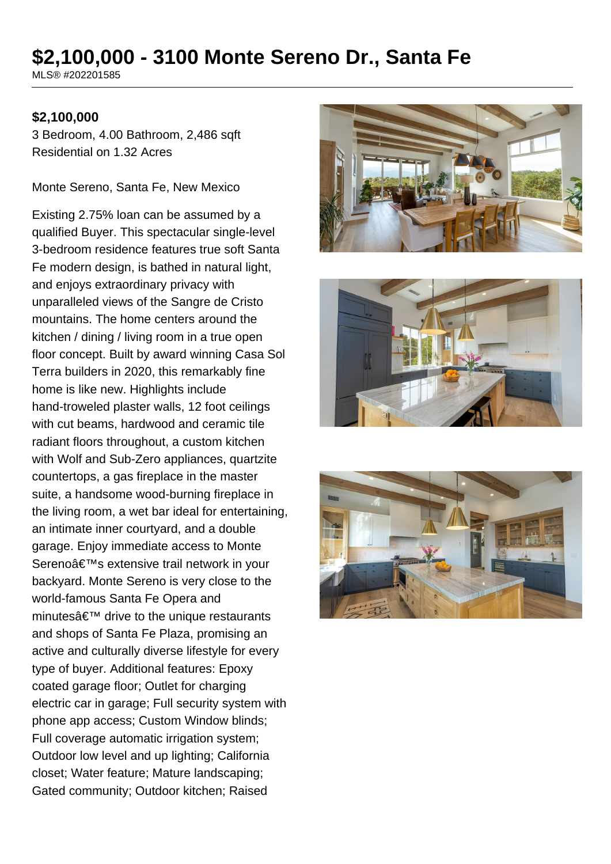# **\$2,100,000 - 3100 Monte Sereno Dr., Santa Fe**

MLS® #202201585

#### **\$2,100,000**

3 Bedroom, 4.00 Bathroom, 2,486 sqft Residential on 1.32 Acres

Monte Sereno, Santa Fe, New Mexico

Existing 2.75% loan can be assumed by a qualified Buyer. This spectacular single-level 3-bedroom residence features true soft Santa Fe modern design, is bathed in natural light, and enjoys extraordinary privacy with unparalleled views of the Sangre de Cristo mountains. The home centers around the kitchen / dining / living room in a true open floor concept. Built by award winning Casa Sol Terra builders in 2020, this remarkably fine home is like new. Highlights include hand-troweled plaster walls, 12 foot ceilings with cut beams, hardwood and ceramic tile radiant floors throughout, a custom kitchen with Wolf and Sub-Zero appliances, quartzite countertops, a gas fireplace in the master suite, a handsome wood-burning fireplace in the living room, a wet bar ideal for entertaining, an intimate inner courtyard, and a double garage. Enjoy immediate access to Monte Sereno's extensive trail network in your backyard. Monte Sereno is very close to the world-famous Santa Fe Opera and minutes $a \in \mathbb{N}$  drive to the unique restaurants and shops of Santa Fe Plaza, promising an active and culturally diverse lifestyle for every type of buyer. Additional features: Epoxy coated garage floor; Outlet for charging electric car in garage; Full security system with phone app access; Custom Window blinds; Full coverage automatic irrigation system; Outdoor low level and up lighting; California closet; Water feature; Mature landscaping; Gated community; Outdoor kitchen; Raised





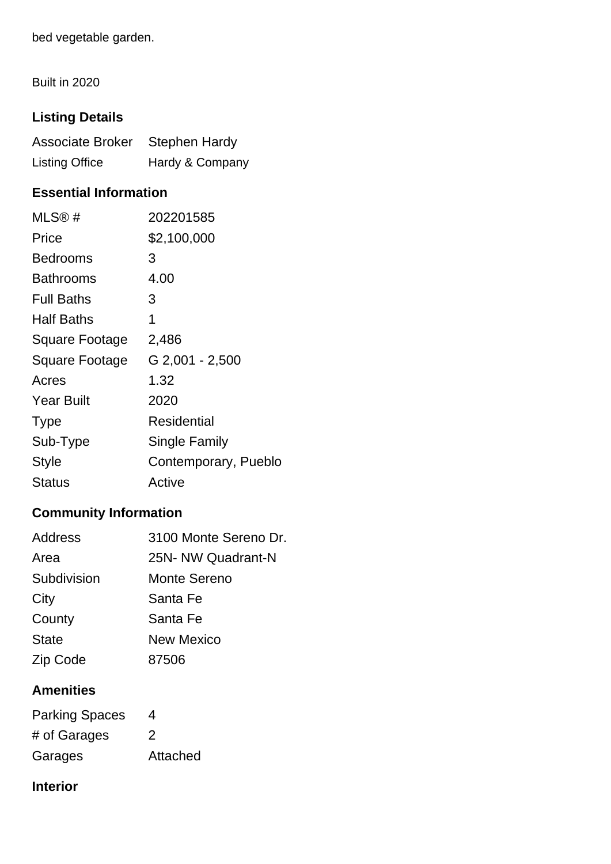bed vegetable garden.

Built in 2020

## **Listing Details**

| Associate Broker Stephen Hardy |                 |
|--------------------------------|-----------------|
| <b>Listing Office</b>          | Hardy & Company |

## **Essential Information**

| MLS@#             | 202201585            |
|-------------------|----------------------|
| Price             | \$2,100,000          |
| <b>Bedrooms</b>   | 3                    |
| <b>Bathrooms</b>  | 4.00                 |
| <b>Full Baths</b> | 3                    |
| <b>Half Baths</b> | 1                    |
| Square Footage    | 2,486                |
| Square Footage    | G 2,001 - 2,500      |
| Acres             | 1.32                 |
| <b>Year Built</b> | 2020                 |
| <b>Type</b>       | Residential          |
| Sub-Type          | <b>Single Family</b> |
| Style             | Contemporary, Pueblo |
| Status            | Active               |

## **Community Information**

| <b>Address</b> | 3100 Monte Sereno Dr. |
|----------------|-----------------------|
| Area           | 25N- NW Quadrant-N    |
| Subdivision    | Monte Sereno          |
| City           | Santa Fe              |
| County         | Santa Fe              |
| <b>State</b>   | <b>New Mexico</b>     |
| Zip Code       | 87506                 |
|                |                       |

## **Amenities**

| <b>Parking Spaces</b> | 4        |
|-----------------------|----------|
| # of Garages          | 2        |
| Garages               | Attached |

## **Interior**